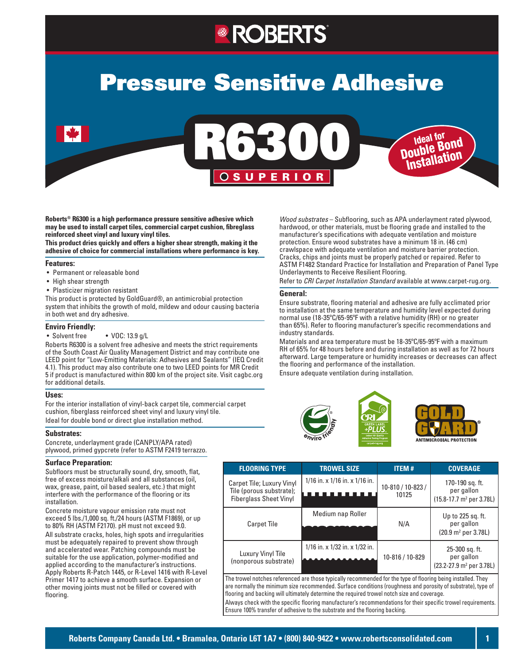# **ROBERTS**

# Pressure Sensitive Adhesive

R6300

OSUPERIOR

**Roberts® R6300 is a high performance pressure sensitive adhesive which may be used to install carpet tiles, commercial carpet cushion, fibreglass reinforced sheet vinyl and luxury vinyl tiles.** 

**This product dries quickly and offers a higher shear strength, making it the adhesive of choice for commercial installations where performance is key.** 

#### **Features:**

- • Permanent or releasable bond
- High shear strength
- Plasticizer migration resistant

This product is protected by GoldGuard®, an antimicrobial protection system that inhibits the growth of mold, mildew and odour causing bacteria in both wet and dry adhesive.

#### **Enviro Friendly:**

• Solvent free • VOC: 13.9 g/L

Roberts R6300 is a solvent free adhesive and meets the strict requirements of the South Coast Air Quality Management District and may contribute one LEED point for "Low-Emitting Materials: Adhesives and Sealants" (IEQ Credit 4.1). This product may also contribute one to two LEED points for MR Credit 5 if product is manufactured within 800 km of the project site. Visit cagbc.org for additional details.

#### **Uses:**

For the interior installation of vinyl-back carpet tile, commercial carpet cushion, fiberglass reinforced sheet vinyl and luxury vinyl tile. Ideal for double bond or direct glue installation method.

#### **Substrates:**

Concrete, underlayment grade (CANPLY/APA rated) plywood, primed gypcrete (refer to ASTM F2419 terrazzo.

#### **Surface Preparation:**

Subfloors must be structurally sound, dry, smooth, flat, free of excess moisture/alkali and all substances (oil, wax, grease, paint, oil based sealers, etc.) that might interfere with the performance of the flooring or its installation.

Concrete moisture vapour emission rate must not exceed 5 lbs./1,000 sq. ft./24 hours (ASTM F1869), or up to 80% RH (ASTM F2170). pH must not exceed 9.0.

All substrate cracks, holes, high spots and irregularities must be adequately repaired to prevent show through and accelerated wear. Patching compounds must be suitable for the use application, polymer-modified and applied according to the manufacturer's instructions. Apply Roberts R-Patch 1445, or R-Level 1416 with R-Level Primer 1417 to achieve a smooth surface. Expansion or other moving joints must not be filled or covered with flooring.

*Wood substrates* – Subflooring, such as APA underlayment rated plywood, hardwood, or other materials, must be flooring grade and installed to the manufacturer's specifications with adequate ventilation and moisture protection. Ensure wood substrates have a minimum 18 in. (46 cm) crawlspace with adequate ventilation and moisture barrier protection. Cracks, chips and joints must be properly patched or repaired. Refer to ASTM F1482 Standard Practice for Installation and Preparation of Panel Type Underlayments to Receive Resilient Flooring.

Ideal for Double Bond Installation

Refer to *CRI Carpet Installation Standard* available at www.carpet-rug.org.

#### **General:**

Ensure substrate, flooring material and adhesive are fully acclimated prior to installation at the same temperature and humidity level expected during normal use (18-35ºC/65-95ºF with a relative humidity (RH) or no greater than 65%). Refer to flooring manufacturer's specific recommendations and industry standards.

Materials and area temperature must be 18-35ºC/65-95ºF with a maximum RH of 65% for 48 hours before and during installation as well as for 72 hours afterward. Large temperature or humidity increases or decreases can affect the flooring and performance of the installation.

Ensure adequate ventilation during installation.  $f(x) = \frac{1}{2\pi} \int_{0}^{2\pi} f(x) \, dx$ 



| <b>FLOORING TYPE</b>                                                                   | <b>TROWEL SIZE</b>                   | <b>ITEM#</b>               | <b>COVERAGE</b>                                                                         |
|----------------------------------------------------------------------------------------|--------------------------------------|----------------------------|-----------------------------------------------------------------------------------------|
| Carpet Tile; Luxury Vinyl<br>Tile (porous substrate);<br><b>Fiberglass Sheet Vinyl</b> | $1/16$ in. x $1/16$ in. x $1/16$ in. | 10-810 / 10-823 /<br>10125 | 170-190 sq. ft.<br>per gallon<br>$(15.8 - 17.7 \text{ m}^2 \text{ per } 3.78 \text{L})$ |
| Carpet Tile                                                                            | Medium nap Roller                    | N/A                        | Up to 225 sq. ft.<br>per gallon<br>(20.9 m <sup>2</sup> per 3.78L)                      |
| Luxury Vinyl Tile<br>(nonporous substrate)                                             | 1/16 in. x 1/32 in. x 1/32 in.       | 10-816 / 10-829            | 25-300 sq. ft.<br>per gallon<br>(23.2-27.9 m <sup>2</sup> per 3.78L)                    |

The trowel notches referenced are those typically recommended for the type of flooring being installed. They are normally the minimum size recommended. Surface conditions (roughness and porosity of substrate), type of flooring and backing will ultimately determine the required trowel notch size and coverage. Always check with the specific flooring manufacturer's recommendations for their specific trowel requirements.

Ensure 100% transfer of adhesive to the substrate and the flooring backing.